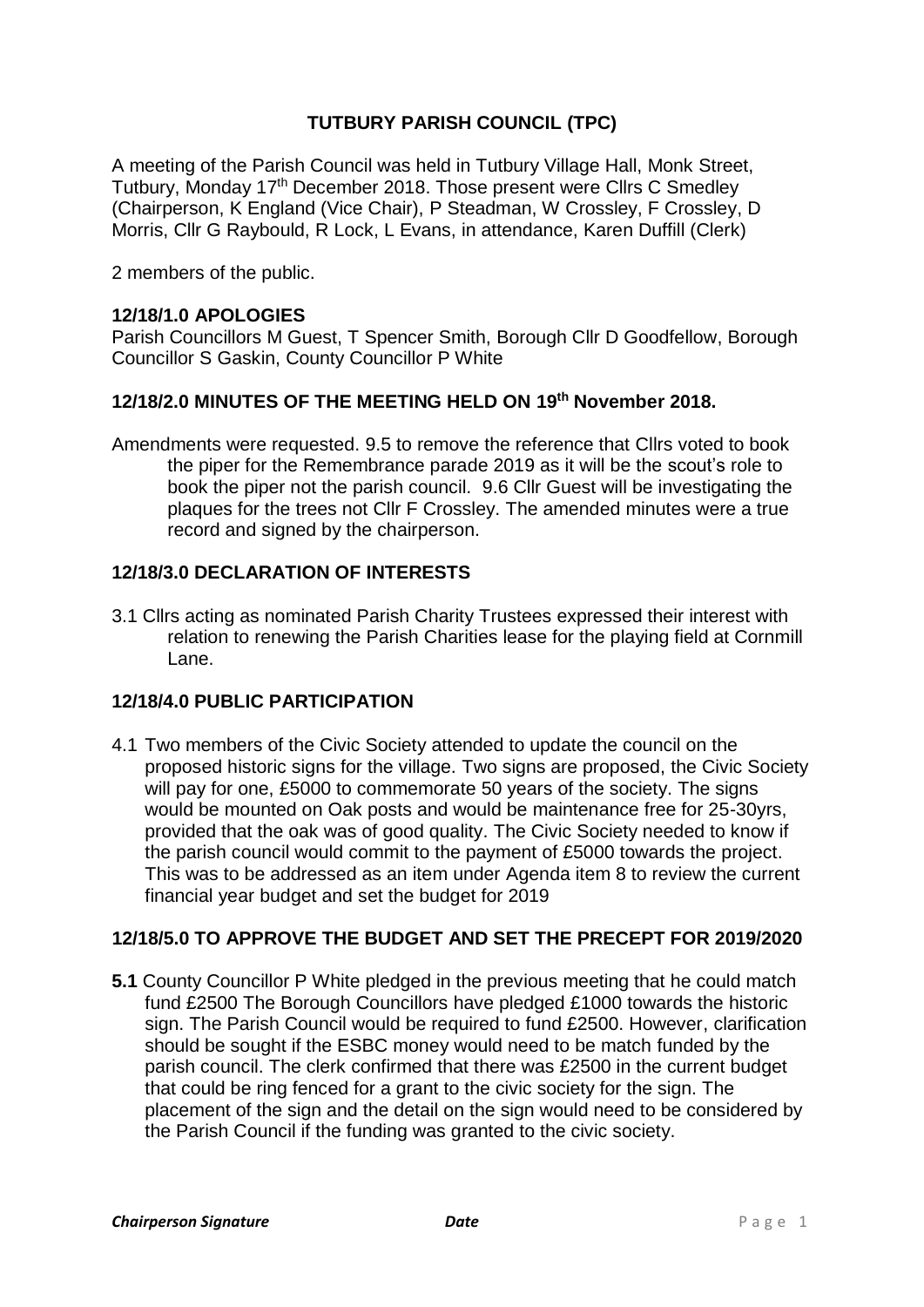# **TUTBURY PARISH COUNCIL (TPC)**

A meeting of the Parish Council was held in Tutbury Village Hall, Monk Street, Tutbury, Monday 17<sup>th</sup> December 2018. Those present were Cllrs C Smedley (Chairperson, K England (Vice Chair), P Steadman, W Crossley, F Crossley, D Morris, Cllr G Raybould, R Lock, L Evans, in attendance, Karen Duffill (Clerk)

2 members of the public.

#### **12/18/1.0 APOLOGIES**

Parish Councillors M Guest, T Spencer Smith, Borough Cllr D Goodfellow, Borough Councillor S Gaskin, County Councillor P White

#### **12/18/2.0 MINUTES OF THE MEETING HELD ON 19 th November 2018.**

Amendments were requested. 9.5 to remove the reference that Cllrs voted to book the piper for the Remembrance parade 2019 as it will be the scout's role to book the piper not the parish council. 9.6 Cllr Guest will be investigating the plaques for the trees not Cllr F Crossley. The amended minutes were a true record and signed by the chairperson.

#### **12/18/3.0 DECLARATION OF INTERESTS**

3.1 Cllrs acting as nominated Parish Charity Trustees expressed their interest with relation to renewing the Parish Charities lease for the playing field at Cornmill Lane.

#### **12/18/4.0 PUBLIC PARTICIPATION**

4.1 Two members of the Civic Society attended to update the council on the proposed historic signs for the village. Two signs are proposed, the Civic Society will pay for one, £5000 to commemorate 50 years of the society. The signs would be mounted on Oak posts and would be maintenance free for 25-30yrs, provided that the oak was of good quality. The Civic Society needed to know if the parish council would commit to the payment of £5000 towards the project. This was to be addressed as an item under Agenda item 8 to review the current financial year budget and set the budget for 2019

#### **12/18/5.0 TO APPROVE THE BUDGET AND SET THE PRECEPT FOR 2019/2020**

**5.1** County Councillor P White pledged in the previous meeting that he could match fund £2500 The Borough Councillors have pledged £1000 towards the historic sign. The Parish Council would be required to fund £2500. However, clarification should be sought if the ESBC money would need to be match funded by the parish council. The clerk confirmed that there was £2500 in the current budget that could be ring fenced for a grant to the civic society for the sign. The placement of the sign and the detail on the sign would need to be considered by the Parish Council if the funding was granted to the civic society.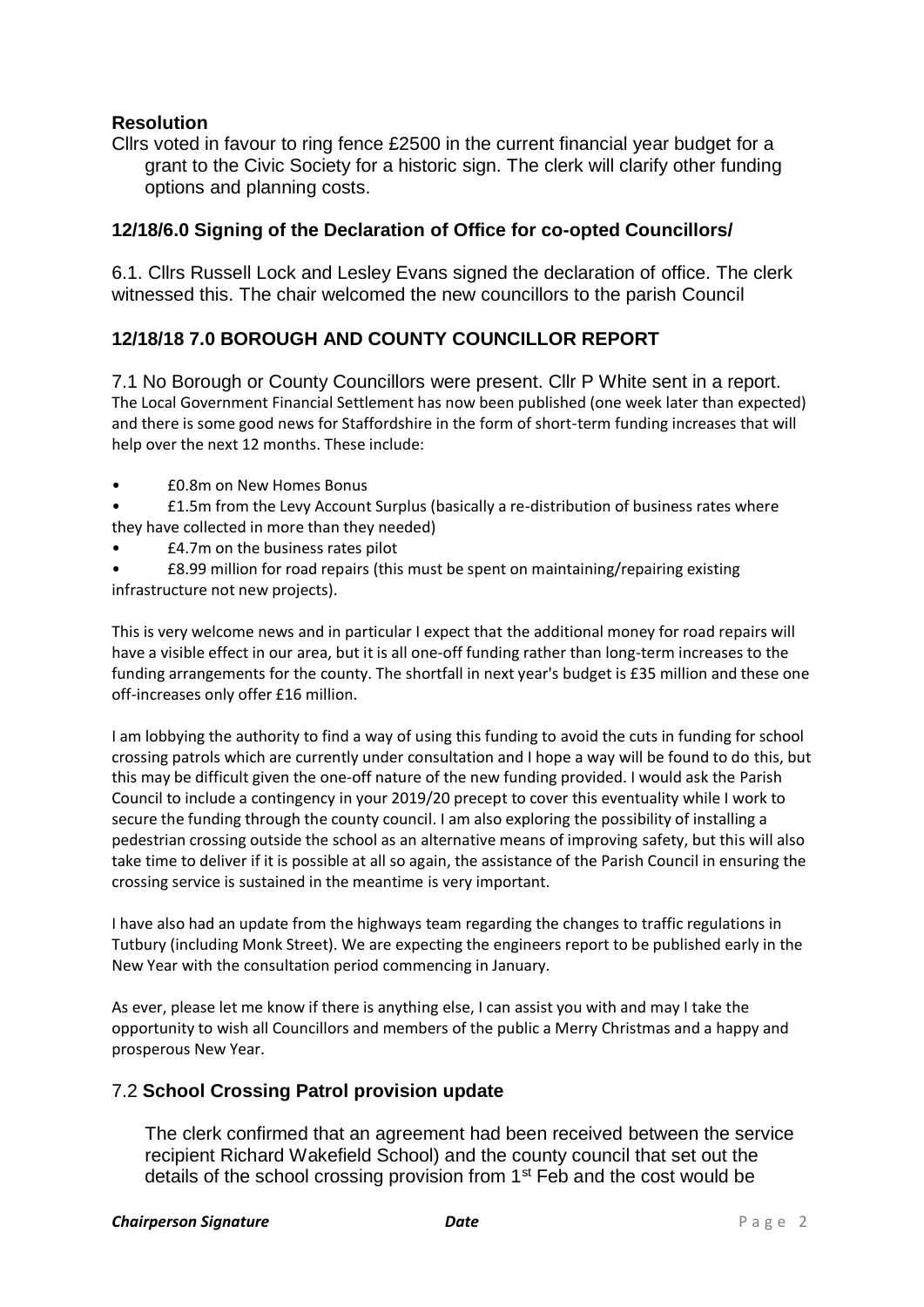### **Resolution**

Cllrs voted in favour to ring fence £2500 in the current financial year budget for a grant to the Civic Society for a historic sign. The clerk will clarify other funding options and planning costs.

#### **12/18/6.0 Signing of the Declaration of Office for co-opted Councillors/**

6.1. Cllrs Russell Lock and Lesley Evans signed the declaration of office. The clerk witnessed this. The chair welcomed the new councillors to the parish Council

## **12/18/18 7.0 BOROUGH AND COUNTY COUNCILLOR REPORT**

7.1 No Borough or County Councillors were present. Cllr P White sent in a report. The Local Government Financial Settlement has now been published (one week later than expected) and there is some good news for Staffordshire in the form of short-term funding increases that will help over the next 12 months. These include:

- £0.8m on New Homes Bonus
- £1.5m from the Levy Account Surplus (basically a re-distribution of business rates where they have collected in more than they needed)
- £4.7m on the business rates pilot
- £8.99 million for road repairs (this must be spent on maintaining/repairing existing infrastructure not new projects).

This is very welcome news and in particular I expect that the additional money for road repairs will have a visible effect in our area, but it is all one-off funding rather than long-term increases to the funding arrangements for the county. The shortfall in next year's budget is £35 million and these one off-increases only offer £16 million.

I am lobbying the authority to find a way of using this funding to avoid the cuts in funding for school crossing patrols which are currently under consultation and I hope a way will be found to do this, but this may be difficult given the one-off nature of the new funding provided. I would ask the Parish Council to include a contingency in your 2019/20 precept to cover this eventuality while I work to secure the funding through the county council. I am also exploring the possibility of installing a pedestrian crossing outside the school as an alternative means of improving safety, but this will also take time to deliver if it is possible at all so again, the assistance of the Parish Council in ensuring the crossing service is sustained in the meantime is very important.

I have also had an update from the highways team regarding the changes to traffic regulations in Tutbury (including Monk Street). We are expecting the engineers report to be published early in the New Year with the consultation period commencing in January.

As ever, please let me know if there is anything else, I can assist you with and may I take the opportunity to wish all Councillors and members of the public a Merry Christmas and a happy and prosperous New Year.

#### 7.2 **School Crossing Patrol provision update**

The clerk confirmed that an agreement had been received between the service recipient Richard Wakefield School) and the county council that set out the details of the school crossing provision from  $1<sup>st</sup>$  Feb and the cost would be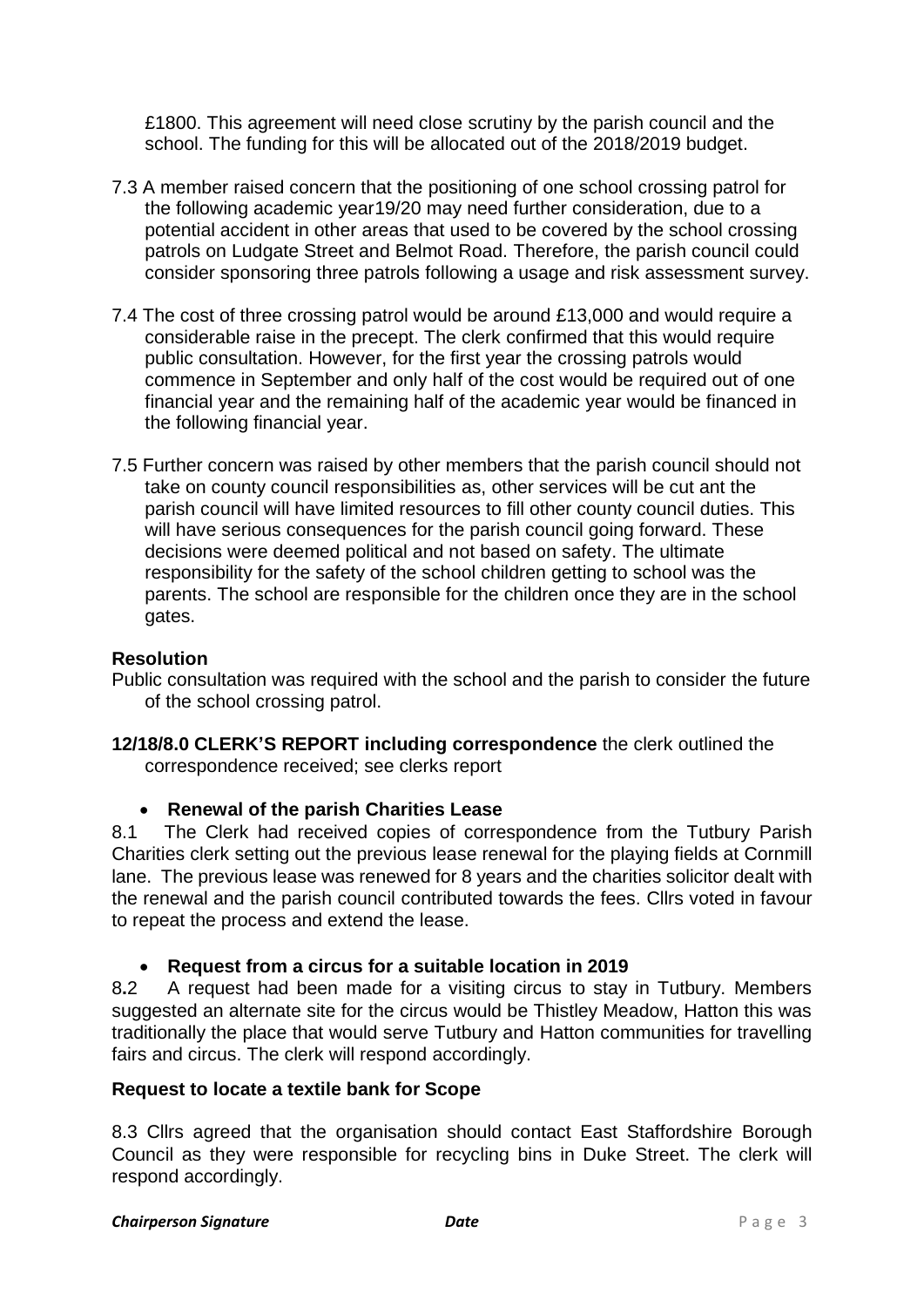£1800. This agreement will need close scrutiny by the parish council and the school. The funding for this will be allocated out of the 2018/2019 budget.

- 7.3 A member raised concern that the positioning of one school crossing patrol for the following academic year19/20 may need further consideration, due to a potential accident in other areas that used to be covered by the school crossing patrols on Ludgate Street and Belmot Road. Therefore, the parish council could consider sponsoring three patrols following a usage and risk assessment survey.
- 7.4 The cost of three crossing patrol would be around £13,000 and would require a considerable raise in the precept. The clerk confirmed that this would require public consultation. However, for the first year the crossing patrols would commence in September and only half of the cost would be required out of one financial year and the remaining half of the academic year would be financed in the following financial year.
- 7.5 Further concern was raised by other members that the parish council should not take on county council responsibilities as, other services will be cut ant the parish council will have limited resources to fill other county council duties. This will have serious consequences for the parish council going forward. These decisions were deemed political and not based on safety. The ultimate responsibility for the safety of the school children getting to school was the parents. The school are responsible for the children once they are in the school gates.

#### **Resolution**

Public consultation was required with the school and the parish to consider the future of the school crossing patrol.

**12/18/8.0 CLERK'S REPORT including correspondence** the clerk outlined the correspondence received; see clerks report

#### • **Renewal of the parish Charities Lease**

8.1The Clerk had received copies of correspondence from the Tutbury Parish Charities clerk setting out the previous lease renewal for the playing fields at Cornmill lane. The previous lease was renewed for 8 years and the charities solicitor dealt with the renewal and the parish council contributed towards the fees. Cllrs voted in favour to repeat the process and extend the lease.

## • **Request from a circus for a suitable location in 2019**

8**.**2 A request had been made for a visiting circus to stay in Tutbury. Members suggested an alternate site for the circus would be Thistley Meadow, Hatton this was traditionally the place that would serve Tutbury and Hatton communities for travelling fairs and circus. The clerk will respond accordingly.

#### **Request to locate a textile bank for Scope**

8.3 Cllrs agreed that the organisation should contact East Staffordshire Borough Council as they were responsible for recycling bins in Duke Street. The clerk will respond accordingly.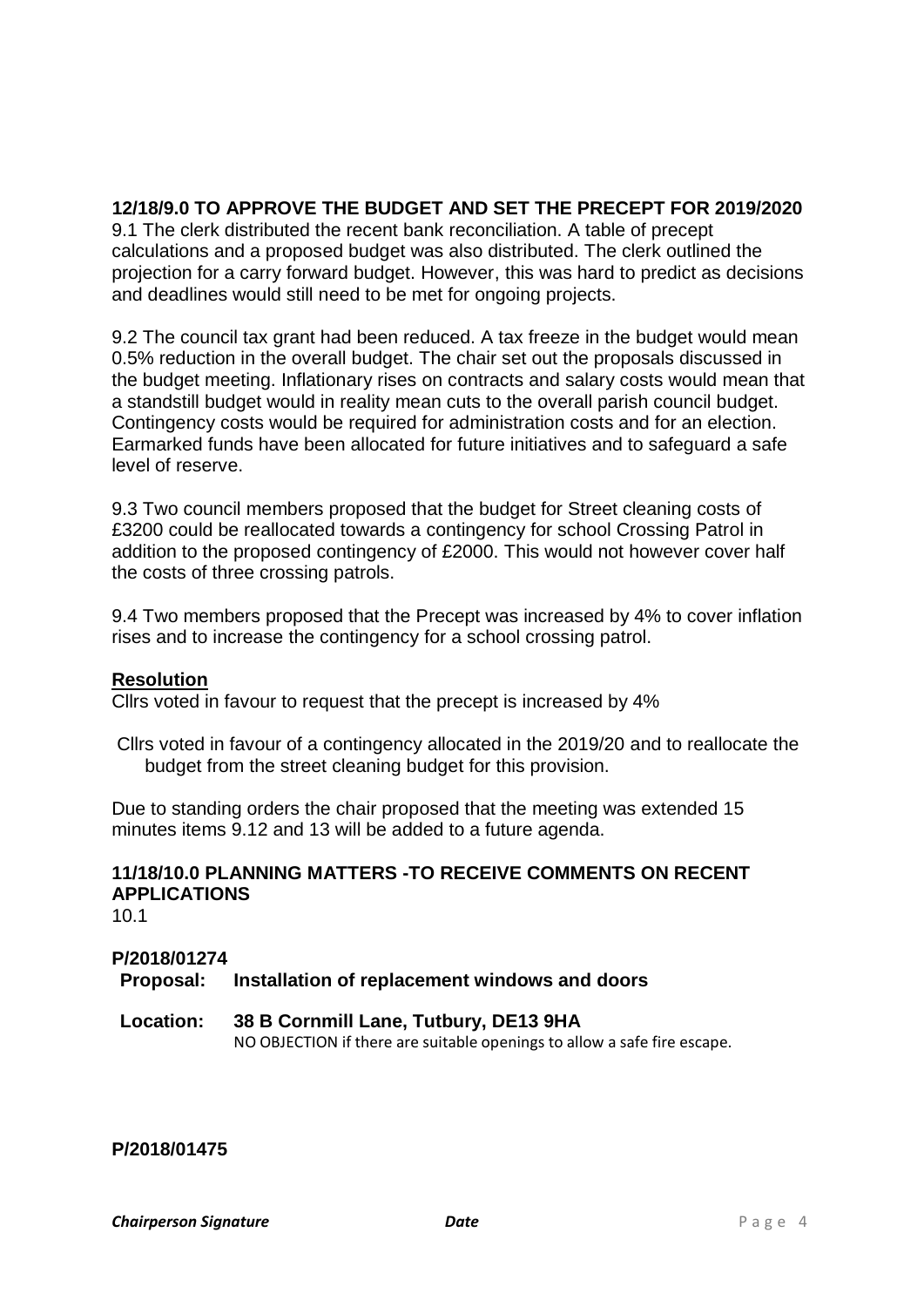# **12/18/9.0 TO APPROVE THE BUDGET AND SET THE PRECEPT FOR 2019/2020**

9.1 The clerk distributed the recent bank reconciliation. A table of precept calculations and a proposed budget was also distributed. The clerk outlined the projection for a carry forward budget. However, this was hard to predict as decisions and deadlines would still need to be met for ongoing projects.

9.2 The council tax grant had been reduced. A tax freeze in the budget would mean 0.5% reduction in the overall budget. The chair set out the proposals discussed in the budget meeting. Inflationary rises on contracts and salary costs would mean that a standstill budget would in reality mean cuts to the overall parish council budget. Contingency costs would be required for administration costs and for an election. Earmarked funds have been allocated for future initiatives and to safeguard a safe level of reserve.

9.3 Two council members proposed that the budget for Street cleaning costs of £3200 could be reallocated towards a contingency for school Crossing Patrol in addition to the proposed contingency of £2000. This would not however cover half the costs of three crossing patrols.

9.4 Two members proposed that the Precept was increased by 4% to cover inflation rises and to increase the contingency for a school crossing patrol.

#### **Resolution**

Cllrs voted in favour to request that the precept is increased by 4%

Cllrs voted in favour of a contingency allocated in the 2019/20 and to reallocate the budget from the street cleaning budget for this provision.

Due to standing orders the chair proposed that the meeting was extended 15 minutes items 9.12 and 13 will be added to a future agenda.

## **11/18/10.0 PLANNING MATTERS -TO RECEIVE COMMENTS ON RECENT APPLICATIONS**

 $10.1$ 

# **P/2018/01274 Proposal: Installation of replacement windows and doors**

# **Location: 38 B Cornmill Lane, Tutbury, DE13 9HA**

NO OBJECTION if there are suitable openings to allow a safe fire escape.

**P/2018/01475**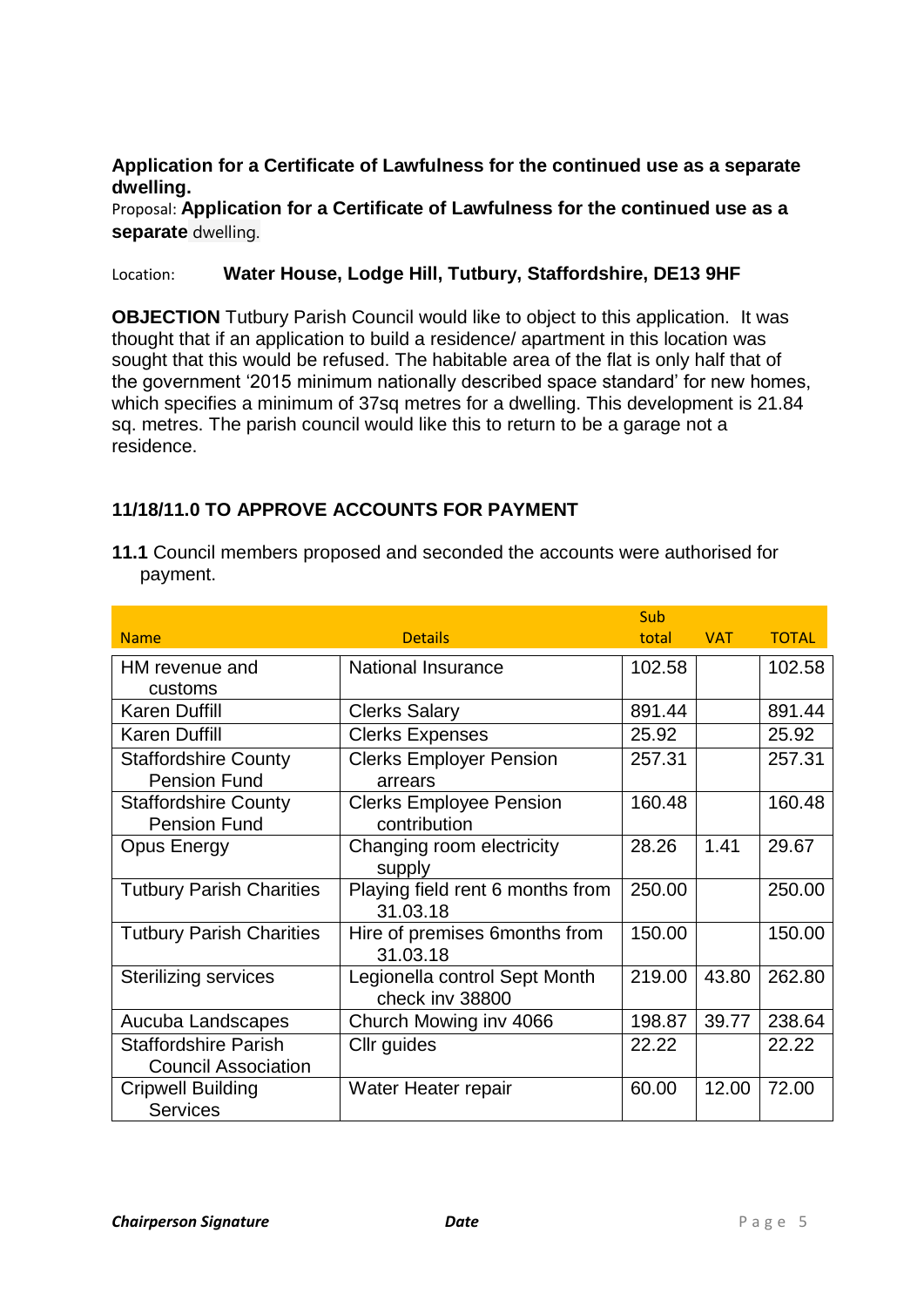#### **Application for a Certificate of Lawfulness for the continued use as a separate dwelling.**

Proposal: **Application for a Certificate of Lawfulness for the continued use as a separate** dwelling.

#### Location: **Water House, Lodge Hill, Tutbury, Staffordshire, DE13 9HF**

**OBJECTION** Tutbury Parish Council would like to object to this application. It was thought that if an application to build a residence/ apartment in this location was sought that this would be refused. The habitable area of the flat is only half that of the government '2015 minimum nationally described space standard' for new homes, which specifies a minimum of 37sq metres for a dwelling. This development is 21.84 sq. metres. The parish council would like this to return to be a garage not a residence.

## **11/18/11.0 TO APPROVE ACCOUNTS FOR PAYMENT**

**11.1** Council members proposed and seconded the accounts were authorised for payment.

|                                 |                                  | Sub    |            |              |
|---------------------------------|----------------------------------|--------|------------|--------------|
| <b>Name</b>                     | <b>Details</b>                   | total  | <b>VAT</b> | <b>TOTAL</b> |
| HM revenue and                  | <b>National Insurance</b>        | 102.58 |            | 102.58       |
| customs                         |                                  |        |            |              |
| <b>Karen Duffill</b>            | <b>Clerks Salary</b>             | 891.44 |            | 891.44       |
| <b>Karen Duffill</b>            | <b>Clerks Expenses</b>           | 25.92  |            | 25.92        |
| <b>Staffordshire County</b>     | <b>Clerks Employer Pension</b>   | 257.31 |            | 257.31       |
| <b>Pension Fund</b>             | arrears                          |        |            |              |
| <b>Staffordshire County</b>     | <b>Clerks Employee Pension</b>   | 160.48 |            | 160.48       |
| <b>Pension Fund</b>             | contribution                     |        |            |              |
| <b>Opus Energy</b>              | Changing room electricity        | 28.26  | 1.41       | 29.67        |
|                                 | supply                           |        |            |              |
| <b>Tutbury Parish Charities</b> | Playing field rent 6 months from | 250.00 |            | 250.00       |
|                                 | 31.03.18                         |        |            |              |
| <b>Tutbury Parish Charities</b> | Hire of premises 6 months from   | 150.00 |            | 150.00       |
|                                 | 31.03.18                         |        |            |              |
| <b>Sterilizing services</b>     | Legionella control Sept Month    | 219.00 | 43.80      | 262.80       |
|                                 | check inv 38800                  |        |            |              |
| Aucuba Landscapes               | Church Mowing inv 4066           | 198.87 | 39.77      | 238.64       |
| <b>Staffordshire Parish</b>     | Cllr guides                      | 22.22  |            | 22.22        |
| <b>Council Association</b>      |                                  |        |            |              |
| <b>Cripwell Building</b>        | Water Heater repair              | 60.00  | 12.00      | 72.00        |
| <b>Services</b>                 |                                  |        |            |              |